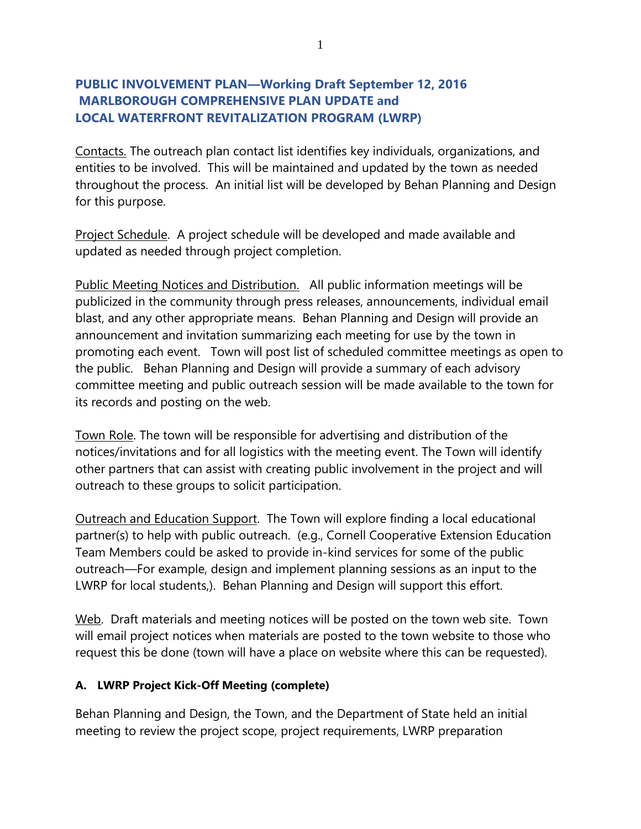# **PUBLIC INVOLVEMENT PLAN—Working Draft September 12, 2016 MARLBOROUGH COMPREHENSIVE PLAN UPDATE and LOCAL WATERFRONT REVITALIZATION PROGRAM (LWRP)**

Contacts. The outreach plan contact list identifies key individuals, organizations, and entities to be involved. This will be maintained and updated by the town as needed throughout the process. An initial list will be developed by Behan Planning and Design for this purpose.

Project Schedule. A project schedule will be developed and made available and updated as needed through project completion.

Public Meeting Notices and Distribution. All public information meetings will be publicized in the community through press releases, announcements, individual email blast, and any other appropriate means. Behan Planning and Design will provide an announcement and invitation summarizing each meeting for use by the town in promoting each event. Town will post list of scheduled committee meetings as open to the public. Behan Planning and Design will provide a summary of each advisory committee meeting and public outreach session will be made available to the town for its records and posting on the web.

Town Role. The town will be responsible for advertising and distribution of the notices/invitations and for all logistics with the meeting event. The Town will identify other partners that can assist with creating public involvement in the project and will outreach to these groups to solicit participation.

Outreach and Education Support. The Town will explore finding a local educational partner(s) to help with public outreach. (e.g., Cornell Cooperative Extension Education Team Members could be asked to provide in-kind services for some of the public outreach—For example, design and implement planning sessions as an input to the LWRP for local students,). Behan Planning and Design will support this effort.

Web. Draft materials and meeting notices will be posted on the town web site. Town will email project notices when materials are posted to the town website to those who request this be done (town will have a place on website where this can be requested).

#### **A. LWRP Project Kick-Off Meeting (complete)**

Behan Planning and Design, the Town, and the Department of State held an initial meeting to review the project scope, project requirements, LWRP preparation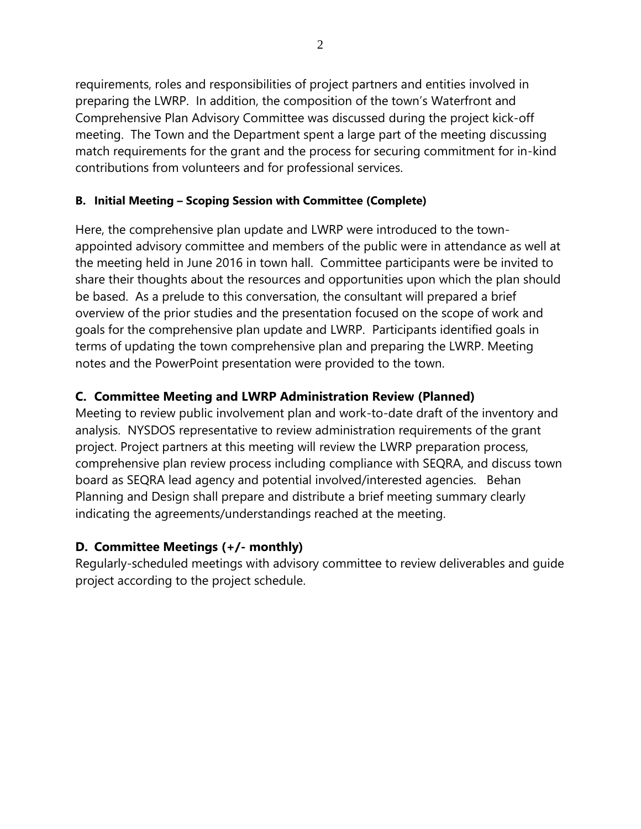requirements, roles and responsibilities of project partners and entities involved in preparing the LWRP. In addition, the composition of the town's Waterfront and Comprehensive Plan Advisory Committee was discussed during the project kick-off meeting. The Town and the Department spent a large part of the meeting discussing match requirements for the grant and the process for securing commitment for in-kind contributions from volunteers and for professional services.

#### **B. Initial Meeting – Scoping Session with Committee (Complete)**

Here, the comprehensive plan update and LWRP were introduced to the townappointed advisory committee and members of the public were in attendance as well at the meeting held in June 2016 in town hall. Committee participants were be invited to share their thoughts about the resources and opportunities upon which the plan should be based. As a prelude to this conversation, the consultant will prepared a brief overview of the prior studies and the presentation focused on the scope of work and goals for the comprehensive plan update and LWRP. Participants identified goals in terms of updating the town comprehensive plan and preparing the LWRP. Meeting notes and the PowerPoint presentation were provided to the town.

# **C. Committee Meeting and LWRP Administration Review (Planned)**

Meeting to review public involvement plan and work-to-date draft of the inventory and analysis. NYSDOS representative to review administration requirements of the grant project. Project partners at this meeting will review the LWRP preparation process, comprehensive plan review process including compliance with SEQRA, and discuss town board as SEQRA lead agency and potential involved/interested agencies. Behan Planning and Design shall prepare and distribute a brief meeting summary clearly indicating the agreements/understandings reached at the meeting.

# **D. Committee Meetings (+/- monthly)**

Regularly-scheduled meetings with advisory committee to review deliverables and guide project according to the project schedule.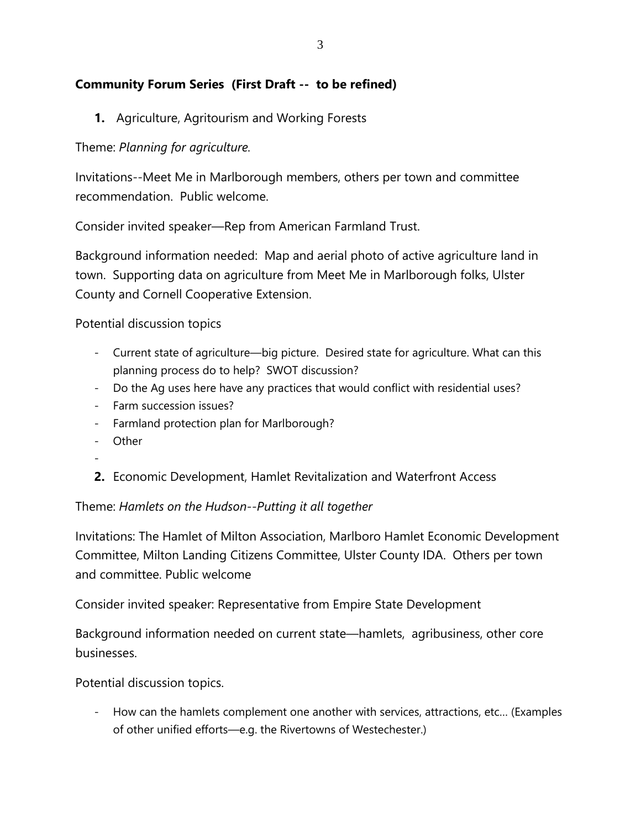# **Community Forum Series (First Draft -- to be refined)**

**1.** Agriculture, Agritourism and Working Forests

Theme: *Planning for agriculture.*

Invitations--Meet Me in Marlborough members, others per town and committee recommendation. Public welcome.

Consider invited speaker—Rep from American Farmland Trust.

Background information needed: Map and aerial photo of active agriculture land in town. Supporting data on agriculture from Meet Me in Marlborough folks, Ulster County and Cornell Cooperative Extension.

Potential discussion topics

- Current state of agriculture—big picture. Desired state for agriculture. What can this planning process do to help? SWOT discussion?
- Do the Ag uses here have any practices that would conflict with residential uses?
- Farm succession issues?
- Farmland protection plan for Marlborough?
- Other
- -
- **2.** Economic Development, Hamlet Revitalization and Waterfront Access

Theme: *Hamlets on the Hudson--Putting it all together*

Invitations: The Hamlet of Milton Association, Marlboro Hamlet Economic Development Committee, Milton Landing Citizens Committee, Ulster County IDA. Others per town and committee. Public welcome

Consider invited speaker: Representative from Empire State Development

Background information needed on current state—hamlets, agribusiness, other core businesses.

Potential discussion topics.

- How can the hamlets complement one another with services, attractions, etc… (Examples of other unified efforts—e.g. the Rivertowns of Westechester.)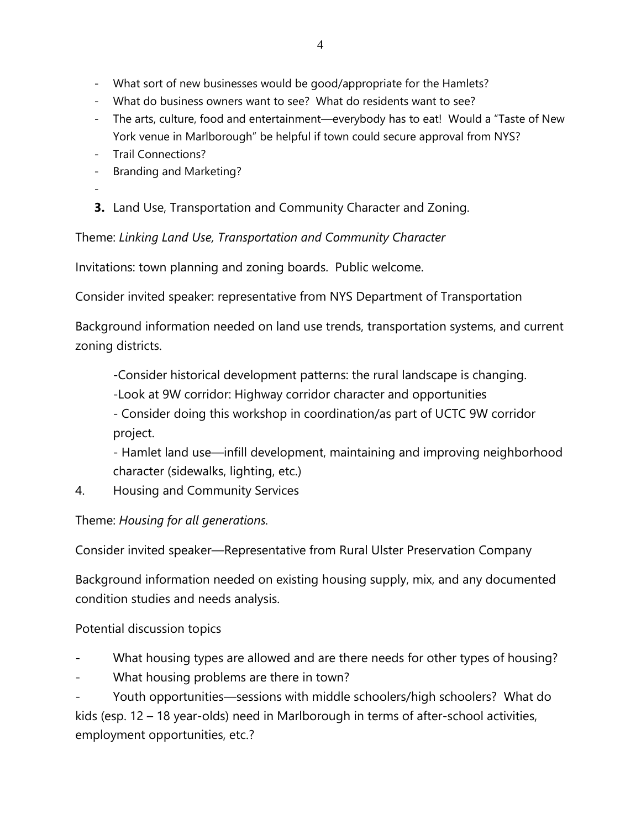- What do business owners want to see? What do residents want to see?
- The arts, culture, food and entertainment—everybody has to eat! Would a "Taste of New York venue in Marlborough" be helpful if town could secure approval from NYS?
- Trail Connections?
- Branding and Marketing?
- -
- **3.** Land Use, Transportation and Community Character and Zoning.

Theme: *Linking Land Use, Transportation and Community Character*

Invitations: town planning and zoning boards. Public welcome.

Consider invited speaker: representative from NYS Department of Transportation

Background information needed on land use trends, transportation systems, and current zoning districts.

-Consider historical development patterns: the rural landscape is changing.

-Look at 9W corridor: Highway corridor character and opportunities

- Consider doing this workshop in coordination/as part of UCTC 9W corridor project.

- Hamlet land use—infill development, maintaining and improving neighborhood character (sidewalks, lighting, etc.)

4. Housing and Community Services

Theme: *Housing for all generations.*

Consider invited speaker—Representative from Rural Ulster Preservation Company

Background information needed on existing housing supply, mix, and any documented condition studies and needs analysis.

# Potential discussion topics

- What housing types are allowed and are there needs for other types of housing?
- What housing problems are there in town?

Youth opportunities—sessions with middle schoolers/high schoolers? What do kids (esp. 12 – 18 year-olds) need in Marlborough in terms of after-school activities, employment opportunities, etc.?